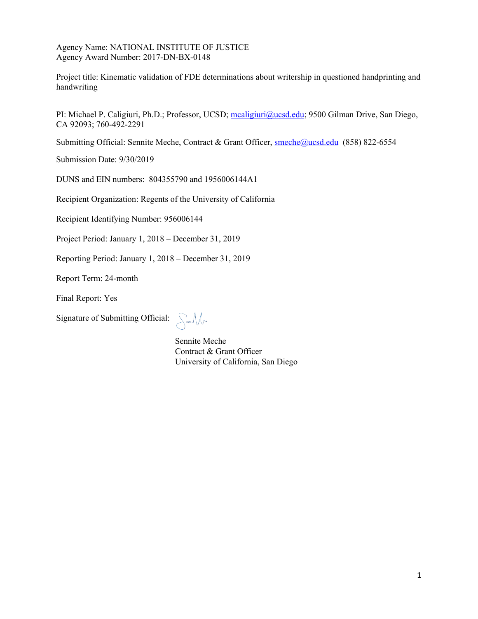

**The author(s) shown below used Federal funding provided by the U.S. Department of Justice to prepare the following resource:** 

| <b>Document Title:</b>  | <b>Kinematic Validation of FDE</b>             |
|-------------------------|------------------------------------------------|
|                         | Determinations About Writership in             |
|                         | <b>Questioned Handprinting and Handwriting</b> |
| Author(s):              | Michael P. Caligiuri, Ph.D.                    |
| Document Number: 304651 |                                                |
| <b>Date Received:</b>   | <b>April 2022</b>                              |
| <b>Award Number:</b>    | 2017-DN-BX-0148                                |

**This resource has not been published by the U.S. Department of Justice. This resource is being made publicly available through the Office of Justice Programs' National Criminal Justice Reference Service.** 

**Opinions or points of view expressed are those of the author(s) and do not necessarily reflect the official position or policies of the U.S. Department of Justice.**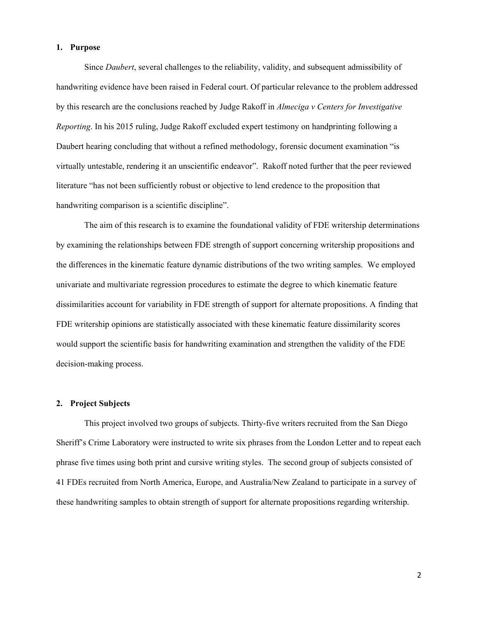$S-M$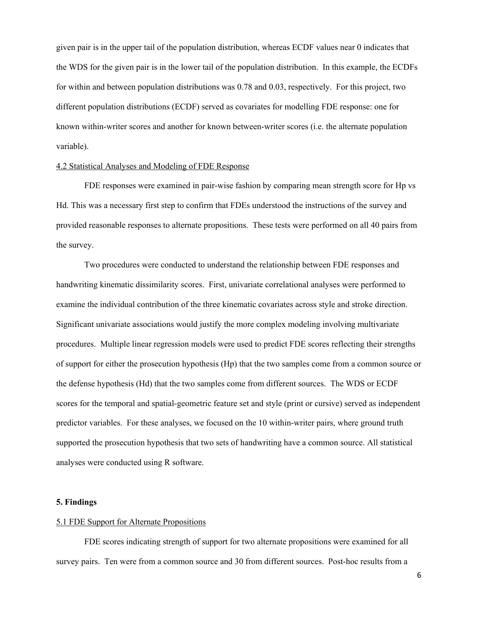In order to control the multidimensionality problem necessary to reduce the kinematics to feature sets, we first calculated a kinematic dissimilarity score from the difference between the two members of a sample pair for each kinematic feature. We developed a new dissimilarity score to measure the difference between two documents by writing style (print or cursive). This new dissimilarity score is constructed by first dividing the writing sample into up-strokes and then projecting the feature set into a new dimension that maximizes the separation between the two sets of points; one set for each of the two writing samples being compared. Once we have projected these two sets into the univariate space, we then measure the similarity between the two distributions of points by looking at the integrated squared error difference of the corresponding quantile functions. This procedure resulted in a measure of the dissimilarity between two quantile functions or the Wasserstein distance score (WDS; Del Barrio et al., 1999). An analogous set of steps are then repeated for the down strokes.

Two additional covariates were calculated from the cumulative distribution of the WDS relative to the population distribution (all other between or within-writer WDS not used in the survey). These covariates reflect the probability (ranging from 0-1) that a given WDS calculated from the population of

available sample between-writer and withinwriter pairs would be less than or equal to the WDS of the survey sample pair and is referred to as the empirical cumulative distribution function or ECDFb and ECDFw, respectively. An example of the ECDF scores for within and between writer distributions for a WDS score of 0.25 is shown in the figure to the right. Higher ECDF values indicate that a large number of



WDS in the population of scores are less than or equal to the WDS for the given sample pair. Conversely, an ECDF value near zero indicates that a very small number of WDS in the population of scores are less than or equal to the WDS for the given sample pair. An ECDF near 1.0 indicates that the WDS for the